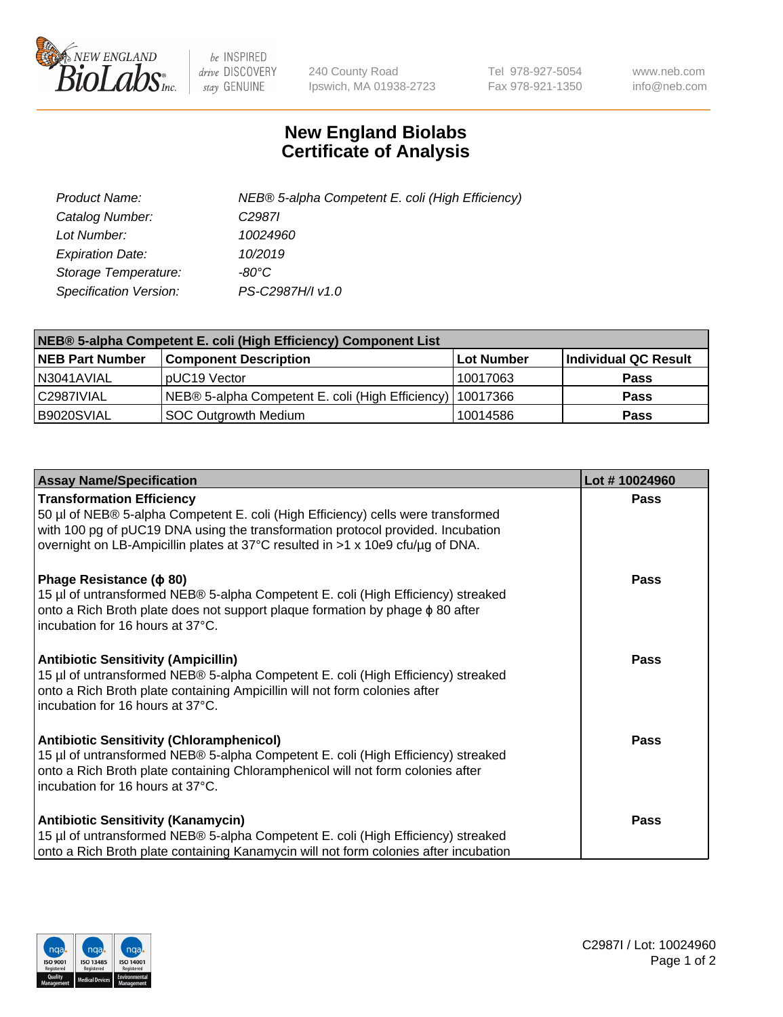

 $be$  INSPIRED drive DISCOVERY stay GENUINE

240 County Road Ipswich, MA 01938-2723 Tel 978-927-5054 Fax 978-921-1350 www.neb.com info@neb.com

## **New England Biolabs Certificate of Analysis**

| Product Name:           | NEB® 5-alpha Competent E. coli (High Efficiency) |
|-------------------------|--------------------------------------------------|
| Catalog Number:         | C <sub>2987</sub>                                |
| Lot Number:             | 10024960                                         |
| <b>Expiration Date:</b> | 10/2019                                          |
| Storage Temperature:    | -80°C                                            |
| Specification Version:  | PS-C2987H/I v1.0                                 |

| NEB® 5-alpha Competent E. coli (High Efficiency) Component List |                                                  |            |                      |  |
|-----------------------------------------------------------------|--------------------------------------------------|------------|----------------------|--|
| <b>NEB Part Number</b>                                          | <b>Component Description</b>                     | Lot Number | Individual QC Result |  |
| N3041AVIAL                                                      | pUC19 Vector                                     | 10017063   | <b>Pass</b>          |  |
| C2987IVIAL                                                      | NEB® 5-alpha Competent E. coli (High Efficiency) | 10017366   | <b>Pass</b>          |  |
| B9020SVIAL                                                      | SOC Outgrowth Medium                             | 10014586   | <b>Pass</b>          |  |

| <b>Assay Name/Specification</b>                                                                                                                                                                                                                                                           | Lot #10024960 |
|-------------------------------------------------------------------------------------------------------------------------------------------------------------------------------------------------------------------------------------------------------------------------------------------|---------------|
| <b>Transformation Efficiency</b><br>50 µl of NEB® 5-alpha Competent E. coli (High Efficiency) cells were transformed<br>with 100 pg of pUC19 DNA using the transformation protocol provided. Incubation<br>overnight on LB-Ampicillin plates at 37°C resulted in >1 x 10e9 cfu/µg of DNA. | Pass          |
| Phage Resistance ( $\phi$ 80)<br>15 µl of untransformed NEB® 5-alpha Competent E. coli (High Efficiency) streaked<br>onto a Rich Broth plate does not support plaque formation by phage $\phi$ 80 after<br>incubation for 16 hours at 37°C.                                               | <b>Pass</b>   |
| <b>Antibiotic Sensitivity (Ampicillin)</b><br>15 µl of untransformed NEB® 5-alpha Competent E. coli (High Efficiency) streaked<br>onto a Rich Broth plate containing Ampicillin will not form colonies after<br>incubation for 16 hours at 37°C.                                          | <b>Pass</b>   |
| <b>Antibiotic Sensitivity (Chloramphenicol)</b><br>15 µl of untransformed NEB® 5-alpha Competent E. coli (High Efficiency) streaked<br>onto a Rich Broth plate containing Chloramphenicol will not form colonies after<br>incubation for 16 hours at 37°C.                                | Pass          |
| <b>Antibiotic Sensitivity (Kanamycin)</b><br>15 µl of untransformed NEB® 5-alpha Competent E. coli (High Efficiency) streaked<br>onto a Rich Broth plate containing Kanamycin will not form colonies after incubation                                                                     | <b>Pass</b>   |